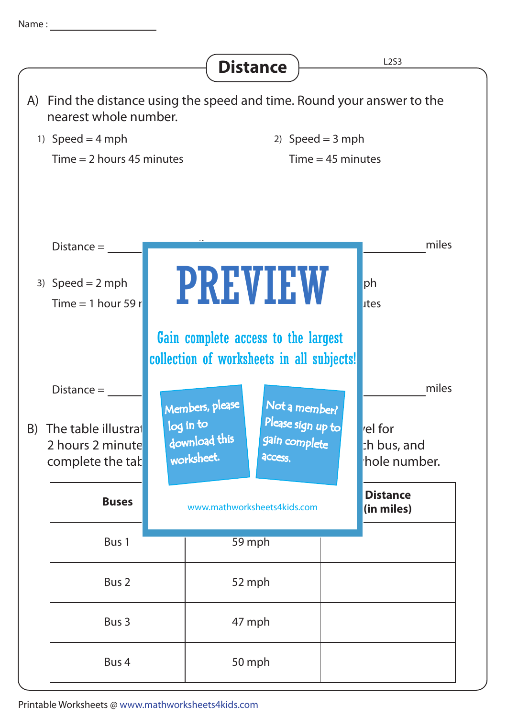